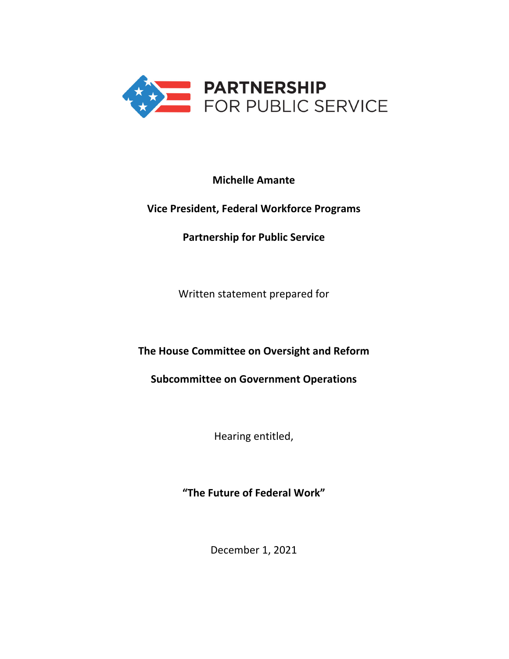

# **Michelle Amante**

# **Vice President, Federal Workforce Programs**

**Partnership for Public Service**

Written statement prepared for

**The House Committee on Oversight and Reform** 

**Subcommittee on Government Operations**

Hearing entitled,

**"The Future of Federal Work"**

December 1, 2021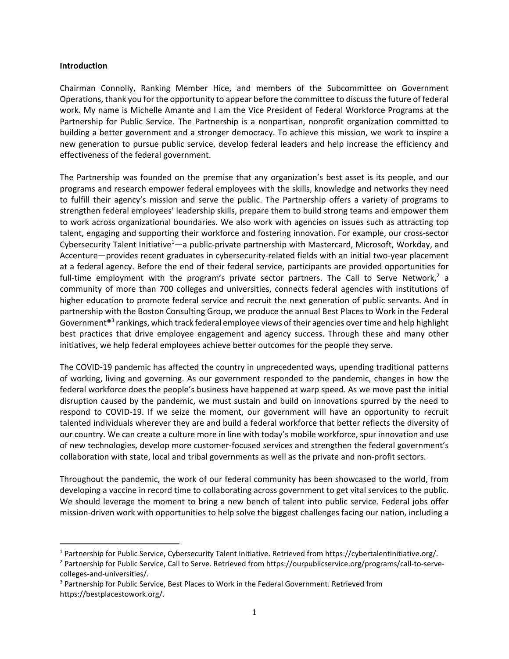#### **Introduction**

Chairman Connolly, Ranking Member Hice, and members of the Subcommittee on Government Operations, thank you for the opportunity to appear before the committee to discussthe future of federal work. My name is Michelle Amante and I am the Vice President of Federal Workforce Programs at the Partnership for Public Service. The Partnership is a nonpartisan, nonprofit organization committed to building a better government and a stronger democracy. To achieve this mission, we work to inspire a new generation to pursue public service, develop federal leaders and help increase the efficiency and effectiveness of the federal government.

The Partnership was founded on the premise that any organization's best asset is its people, and our programs and research empower federal employees with the skills, knowledge and networks they need to fulfill their agency's mission and serve the public. The Partnership offers a variety of programs to strengthen federal employees' leadership skills, prepare them to build strong teams and empower them to work across organizational boundaries. We also work with agencies on issues such as attracting top talent, engaging and supporting their workforce and fostering innovation. For example, our cross‐sector Cybersecurity Talent Initiative<sup>1</sup>—a public-private partnership with Mastercard, Microsoft, Workday, and Accenture—provides recent graduates in cybersecurity-related fields with an initial two-year placement at a federal agency. Before the end of their federal service, participants are provided opportunities for full-time employment with the program's private sector partners. The Call to Serve Network, $^2$  a community of more than 700 colleges and universities, connects federal agencies with institutions of higher education to promote federal service and recruit the next generation of public servants. And in partnership with the Boston Consulting Group, we produce the annual Best Places to Work in the Federal Government<sup>®3</sup> rankings, which track federal employee views of their agencies over time and help highlight best practices that drive employee engagement and agency success. Through these and many other initiatives, we help federal employees achieve better outcomes for the people they serve.

The COVID‐19 pandemic has affected the country in unprecedented ways, upending traditional patterns of working, living and governing. As our government responded to the pandemic, changes in how the federal workforce does the people's business have happened at warp speed. As we move past the initial disruption caused by the pandemic, we must sustain and build on innovations spurred by the need to respond to COVID‐19. If we seize the moment, our government will have an opportunity to recruit talented individuals wherever they are and build a federal workforce that better reflects the diversity of our country. We can create a culture more in line with today's mobile workforce, spur innovation and use of new technologies, develop more customer‐focused services and strengthen the federal government's collaboration with state, local and tribal governments as well as the private and non‐profit sectors.

Throughout the pandemic, the work of our federal community has been showcased to the world, from developing a vaccine in record time to collaborating across government to get vital services to the public. We should leverage the moment to bring a new bench of talent into public service. Federal jobs offer mission‐driven work with opportunities to help solve the biggest challenges facing our nation, including a

<sup>1</sup> Partnership for Public Service, Cybersecurity Talent Initiative. Retrieved from https://cybertalentinitiative.org/.

<sup>&</sup>lt;sup>2</sup> Partnership for Public Service, Call to Serve. Retrieved from https://ourpublicservice.org/programs/call-to-servecolleges‐and‐universities/.

<sup>&</sup>lt;sup>3</sup> Partnership for Public Service, Best Places to Work in the Federal Government. Retrieved from https://bestplacestowork.org/.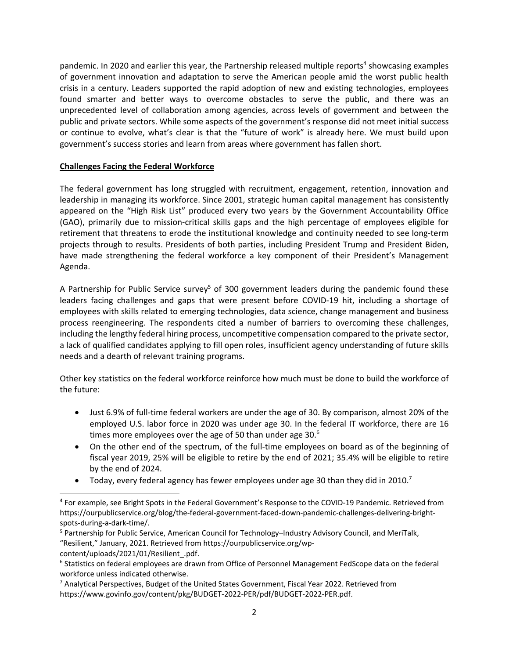pandemic. In 2020 and earlier this year, the Partnership released multiple reports<sup>4</sup> showcasing examples of government innovation and adaptation to serve the American people amid the worst public health crisis in a century. Leaders supported the rapid adoption of new and existing technologies, employees found smarter and better ways to overcome obstacles to serve the public, and there was an unprecedented level of collaboration among agencies, across levels of government and between the public and private sectors. While some aspects of the government's response did not meet initial success or continue to evolve, what's clear is that the "future of work" is already here. We must build upon government's success stories and learn from areas where government has fallen short.

# **Challenges Facing the Federal Workforce**

The federal government has long struggled with recruitment, engagement, retention, innovation and leadership in managing its workforce. Since 2001, strategic human capital management has consistently appeared on the "High Risk List" produced every two years by the Government Accountability Office (GAO), primarily due to mission‐critical skills gaps and the high percentage of employees eligible for retirement that threatens to erode the institutional knowledge and continuity needed to see long-term projects through to results. Presidents of both parties, including President Trump and President Biden, have made strengthening the federal workforce a key component of their President's Management Agenda.

A Partnership for Public Service survey<sup>5</sup> of 300 government leaders during the pandemic found these leaders facing challenges and gaps that were present before COVID‐19 hit, including a shortage of employees with skills related to emerging technologies, data science, change management and business process reengineering. The respondents cited a number of barriers to overcoming these challenges, including the lengthy federal hiring process, uncompetitive compensation compared to the private sector, a lack of qualified candidates applying to fill open roles, insufficient agency understanding of future skills needs and a dearth of relevant training programs.

Other key statistics on the federal workforce reinforce how much must be done to build the workforce of the future:

- Just 6.9% of full-time federal workers are under the age of 30. By comparison, almost 20% of the employed U.S. labor force in 2020 was under age 30. In the federal IT workforce, there are 16 times more employees over the age of 50 than under age 30. $^6$
- On the other end of the spectrum, of the full-time employees on board as of the beginning of fiscal year 2019, 25% will be eligible to retire by the end of 2021; 35.4% will be eligible to retire by the end of 2024.
- Today, every federal agency has fewer employees under age 30 than they did in 2010.<sup>7</sup>

<sup>4</sup> For example, see Bright Spots in the Federal Government's Response to the COVID‐19 Pandemic. Retrieved from https://ourpublicservice.org/blog/the-federal-government-faced-down-pandemic-challenges-delivering-brightspots‐during‐a‐dark‐time/.

<sup>5</sup> Partnership for Public Service, American Council for Technology–Industry Advisory Council, and MeriTalk, "Resilient," January, 2021. Retrieved from https://ourpublicservice.org/wp‐

content/uploads/2021/01/Resilient .pdf.

<sup>6</sup> Statistics on federal employees are drawn from Office of Personnel Management FedScope data on the federal workforce unless indicated otherwise.

 $7$  Analytical Perspectives, Budget of the United States Government, Fiscal Year 2022. Retrieved from https://www.govinfo.gov/content/pkg/BUDGET‐2022‐PER/pdf/BUDGET‐2022‐PER.pdf.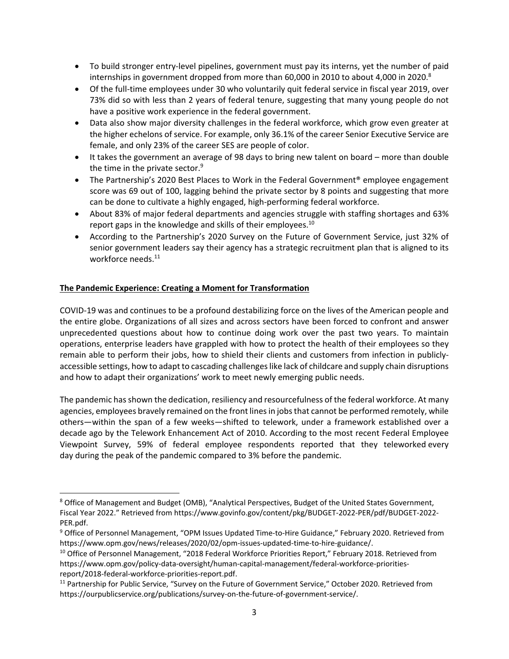- To build stronger entry-level pipelines, government must pay its interns, yet the number of paid internships in government dropped from more than 60,000 in 2010 to about 4,000 in 2020. $8$
- Of the full-time employees under 30 who voluntarily quit federal service in fiscal year 2019, over 73% did so with less than 2 years of federal tenure, suggesting that many young people do not have a positive work experience in the federal government.
- Data also show major diversity challenges in the federal workforce, which grow even greater at the higher echelons of service. For example, only 36.1% of the career Senior Executive Service are female, and only 23% of the career SES are people of color.
- $\bullet$  It takes the government an average of 98 days to bring new talent on board more than double the time in the private sector.<sup>9</sup>
- The Partnership's 2020 Best Places to Work in the Federal Government<sup>®</sup> employee engagement score was 69 out of 100, lagging behind the private sector by 8 points and suggesting that more can be done to cultivate a highly engaged, high‐performing federal workforce.
- About 83% of major federal departments and agencies struggle with staffing shortages and 63% report gaps in the knowledge and skills of their employees.<sup>10</sup>
- According to the Partnership's 2020 Survey on the Future of Government Service, just 32% of senior government leaders say their agency has a strategic recruitment plan that is aligned to its workforce needs.<sup>11</sup>

# **The Pandemic Experience: Creating a Moment for Transformation**

COVID‐19 was and continues to be a profound destabilizing force on the lives of the American people and the entire globe. Organizations of all sizes and across sectors have been forced to confront and answer unprecedented questions about how to continue doing work over the past two years. To maintain operations, enterprise leaders have grappled with how to protect the health of their employees so they remain able to perform their jobs, how to shield their clients and customers from infection in publicly‐ accessible settings, how to adapt to cascading challengeslike lack of childcare and supply chain disruptions and how to adapt their organizations' work to meet newly emerging public needs.

The pandemic hasshown the dedication, resiliency and resourcefulness of the federal workforce. At many agencies, employees bravely remained on the front lines in jobs that cannot be performed remotely, while others—within the span of a few weeks—shifted to telework, under a framework established over a decade ago by the Telework Enhancement Act of 2010. According to the most recent Federal Employee Viewpoint Survey, 59% of federal employee respondents reported that they teleworked every day during the peak of the pandemic compared to 3% before the pandemic.

<sup>&</sup>lt;sup>8</sup> Office of Management and Budget (OMB), "Analytical Perspectives, Budget of the United States Government, Fiscal Year 2022." Retrieved from https://www.govinfo.gov/content/pkg/BUDGET‐2022‐PER/pdf/BUDGET‐2022‐ PER.pdf.

<sup>9</sup> Office of Personnel Management, "OPM Issues Updated Time‐to‐Hire Guidance," February 2020. Retrieved from https://www.opm.gov/news/releases/2020/02/opm‐issues‐updated‐time‐to‐hire‐guidance/.

<sup>&</sup>lt;sup>10</sup> Office of Personnel Management, "2018 Federal Workforce Priorities Report," February 2018. Retrieved from https://www.opm.gov/policy‐data‐oversight/human‐capital‐management/federal‐workforce‐priorities‐ report/2018‐federal‐workforce‐priorities‐report.pdf.

<sup>&</sup>lt;sup>11</sup> Partnership for Public Service, "Survey on the Future of Government Service," October 2020. Retrieved from https://ourpublicservice.org/publications/survey‐on‐the‐future‐of‐government‐service/.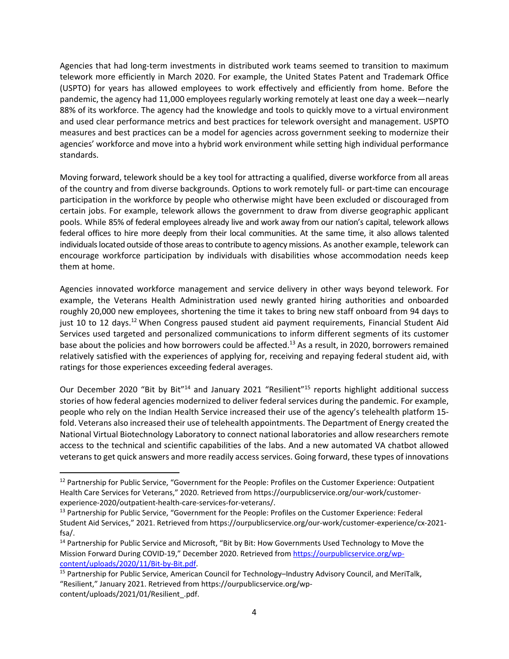Agencies that had long‐term investments in distributed work teams seemed to transition to maximum telework more efficiently in March 2020. For example, the United States Patent and Trademark Office (USPTO) for years has allowed employees to work effectively and efficiently from home. Before the pandemic, the agency had 11,000 employees regularly working remotely at least one day a week—nearly 88% of its workforce. The agency had the knowledge and tools to quickly move to a virtual environment and used clear performance metrics and best practices for telework oversight and management. USPTO measures and best practices can be a model for agencies across government seeking to modernize their agencies' workforce and move into a hybrid work environment while setting high individual performance standards.

Moving forward, telework should be a key tool for attracting a qualified, diverse workforce from all areas of the country and from diverse backgrounds. Options to work remotely full‐ or part‐time can encourage participation in the workforce by people who otherwise might have been excluded or discouraged from certain jobs. For example, telework allows the government to draw from diverse geographic applicant pools. While 85% of federal employees already live and work away from our nation's capital, telework allows federal offices to hire more deeply from their local communities. At the same time, it also allows talented individuals located outside of those areas to contribute to agency missions. As another example, telework can encourage workforce participation by individuals with disabilities whose accommodation needs keep them at home.

Agencies innovated workforce management and service delivery in other ways beyond telework. For example, the Veterans Health Administration used newly granted hiring authorities and onboarded roughly 20,000 new employees, shortening the time it takes to bring new staff onboard from 94 days to just 10 to 12 days.<sup>12</sup> When Congress paused student aid payment requirements, Financial Student Aid Services used targeted and personalized communications to inform different segments of its customer base about the policies and how borrowers could be affected.<sup>13</sup> As a result, in 2020, borrowers remained relatively satisfied with the experiences of applying for, receiving and repaying federal student aid, with ratings for those experiences exceeding federal averages.

Our December 2020 "Bit by Bit"<sup>14</sup> and January 2021 "Resilient"<sup>15</sup> reports highlight additional success stories of how federal agencies modernized to deliver federal services during the pandemic. For example, people who rely on the Indian Health Service increased their use of the agency's telehealth platform 15‐ fold. Veterans also increased their use of telehealth appointments. The Department of Energy created the National Virtual Biotechnology Laboratory to connect national laboratories and allow researchers remote access to the technical and scientific capabilities of the labs. And a new automated VA chatbot allowed veterans to get quick answers and more readily access services. Going forward, these types of innovations

<sup>&</sup>lt;sup>12</sup> Partnership for Public Service, "Government for the People: Profiles on the Customer Experience: Outpatient Health Care Services for Veterans," 2020. Retrieved from https://ourpublicservice.org/our‐work/customer‐ experience‐2020/outpatient‐health‐care‐services‐for‐veterans/.

<sup>&</sup>lt;sup>13</sup> Partnership for Public Service, "Government for the People: Profiles on the Customer Experience: Federal Student Aid Services," 2021. Retrieved from https://ourpublicservice.org/our‐work/customer‐experience/cx‐2021‐ fsa/.

<sup>&</sup>lt;sup>14</sup> Partnership for Public Service and Microsoft, "Bit by Bit: How Governments Used Technology to Move the Mission Forward During COVID-19," December 2020. Retrieved from https://ourpublicservice.org/wpcontent/uploads/2020/11/Bit‐by‐Bit.pdf.

<sup>&</sup>lt;sup>15</sup> Partnership for Public Service, American Council for Technology–Industry Advisory Council, and MeriTalk, "Resilient," January 2021. Retrieved from https://ourpublicservice.org/wp‐ content/uploads/2021/01/Resilient .pdf.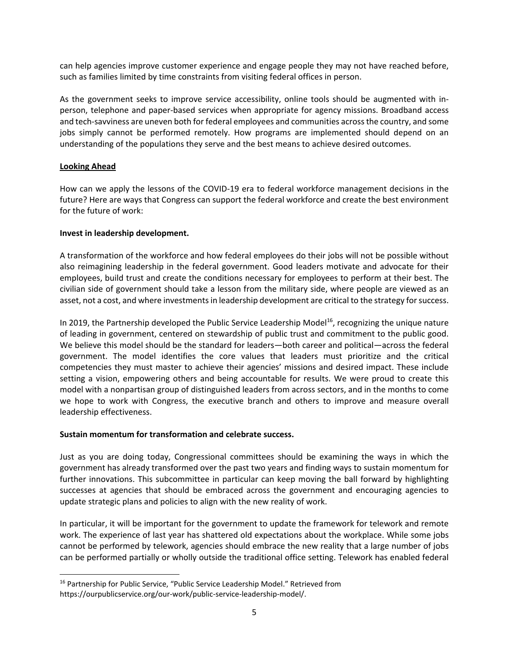can help agencies improve customer experience and engage people they may not have reached before, such as families limited by time constraints from visiting federal offices in person.

As the government seeks to improve service accessibility, online tools should be augmented with in‐ person, telephone and paper‐based services when appropriate for agency missions. Broadband access and tech‐savviness are uneven both for federal employees and communities acrossthe country, and some jobs simply cannot be performed remotely. How programs are implemented should depend on an understanding of the populations they serve and the best means to achieve desired outcomes.

# **Looking Ahead**

How can we apply the lessons of the COVID‐19 era to federal workforce management decisions in the future? Here are ways that Congress can support the federal workforce and create the best environment for the future of work:

# **Invest in leadership development.**

A transformation of the workforce and how federal employees do their jobs will not be possible without also reimagining leadership in the federal government. Good leaders motivate and advocate for their employees, build trust and create the conditions necessary for employees to perform at their best. The civilian side of government should take a lesson from the military side, where people are viewed as an asset, not a cost, and where investments in leadership development are critical to the strategy for success.

In 2019, the Partnership developed the Public Service Leadership Model<sup>16</sup>, recognizing the unique nature of leading in government, centered on stewardship of public trust and commitment to the public good. We believe this model should be the standard for leaders—both career and political—across the federal government. The model identifies the core values that leaders must prioritize and the critical competencies they must master to achieve their agencies' missions and desired impact. These include setting a vision, empowering others and being accountable for results. We were proud to create this model with a nonpartisan group of distinguished leaders from across sectors, and in the months to come we hope to work with Congress, the executive branch and others to improve and measure overall leadership effectiveness.

## **Sustain momentum for transformation and celebrate success.**

Just as you are doing today, Congressional committees should be examining the ways in which the government has already transformed over the past two years and finding ways to sustain momentum for further innovations. This subcommittee in particular can keep moving the ball forward by highlighting successes at agencies that should be embraced across the government and encouraging agencies to update strategic plans and policies to align with the new reality of work.

In particular, it will be important for the government to update the framework for telework and remote work. The experience of last year has shattered old expectations about the workplace. While some jobs cannot be performed by telework, agencies should embrace the new reality that a large number of jobs can be performed partially or wholly outside the traditional office setting. Telework has enabled federal

<sup>&</sup>lt;sup>16</sup> Partnership for Public Service, "Public Service Leadership Model." Retrieved from https://ourpublicservice.org/our‐work/public‐service‐leadership‐model/.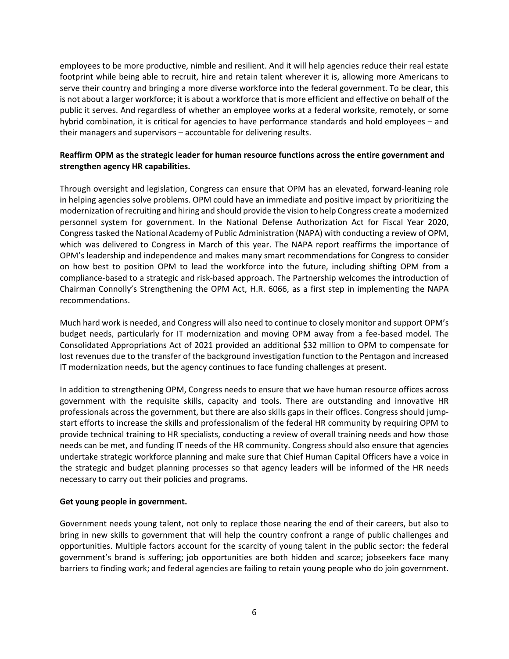employees to be more productive, nimble and resilient. And it will help agencies reduce their real estate footprint while being able to recruit, hire and retain talent wherever it is, allowing more Americans to serve their country and bringing a more diverse workforce into the federal government. To be clear, this is not about a larger workforce; it is about a workforce that is more efficient and effective on behalf of the public it serves. And regardless of whether an employee works at a federal worksite, remotely, or some hybrid combination, it is critical for agencies to have performance standards and hold employees – and their managers and supervisors – accountable for delivering results.

# **Reaffirm OPM as the strategic leader for human resource functions across the entire government and strengthen agency HR capabilities.**

Through oversight and legislation, Congress can ensure that OPM has an elevated, forward‐leaning role in helping agencies solve problems. OPM could have an immediate and positive impact by prioritizing the modernization of recruiting and hiring and should provide the vision to help Congress create a modernized personnel system for government. In the National Defense Authorization Act for Fiscal Year 2020, Congresstasked the National Academy of Public Administration (NAPA) with conducting a review of OPM, which was delivered to Congress in March of this year. The NAPA report reaffirms the importance of OPM's leadership and independence and makes many smart recommendations for Congress to consider on how best to position OPM to lead the workforce into the future, including shifting OPM from a compliance‐based to a strategic and risk‐based approach. The Partnership welcomes the introduction of Chairman Connolly's Strengthening the OPM Act, H.R. 6066, as a first step in implementing the NAPA recommendations.

Much hard work is needed, and Congress will also need to continue to closely monitor and support OPM's budget needs, particularly for IT modernization and moving OPM away from a fee‐based model. The Consolidated Appropriations Act of 2021 provided an additional \$32 million to OPM to compensate for lost revenues due to the transfer of the background investigation function to the Pentagon and increased IT modernization needs, but the agency continues to face funding challenges at present.

In addition to strengthening OPM, Congress needs to ensure that we have human resource offices across government with the requisite skills, capacity and tools. There are outstanding and innovative HR professionals across the government, but there are also skills gaps in their offices. Congress should jumpstart efforts to increase the skills and professionalism of the federal HR community by requiring OPM to provide technical training to HR specialists, conducting a review of overall training needs and how those needs can be met, and funding IT needs of the HR community. Congress should also ensure that agencies undertake strategic workforce planning and make sure that Chief Human Capital Officers have a voice in the strategic and budget planning processes so that agency leaders will be informed of the HR needs necessary to carry out their policies and programs.

## **Get young people in government.**

Government needs young talent, not only to replace those nearing the end of their careers, but also to bring in new skills to government that will help the country confront a range of public challenges and opportunities. Multiple factors account for the scarcity of young talent in the public sector: the federal government's brand is suffering; job opportunities are both hidden and scarce; jobseekers face many barriers to finding work; and federal agencies are failing to retain young people who do join government.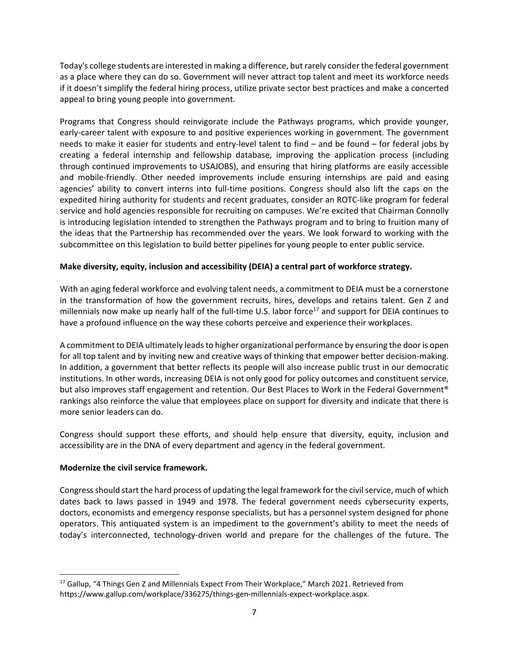Today's college students are interested in making a difference, but rarely consider the federal government as a place where they can do so. Government will never attract top talent and meet its workforce needs if it doesn't simplify the federal hiring process, utilize private sector best practices and make a concerted appeal to bring young people into government.

Programs that Congress should reinvigorate include the Pathways programs, which provide younger, early-career talent with exposure to and positive experiences working in government. The government needs to make it easier for students and entry-level talent to find – and be found – for federal jobs by creating a federal internship and fellowship database, improving the application process (including through continued improvements to USAJOBS), and ensuring that hiring platforms are easily accessible and mobile-friendly. Other needed improvements include ensuring internships are paid and easing agencies' ability to convert interns into full‐time positions. Congress should also lift the caps on the expedited hiring authority for students and recent graduates, consider an ROTC‐like program for federal service and hold agencies responsible for recruiting on campuses. We're excited that Chairman Connolly is introducing legislation intended to strengthen the Pathways program and to bring to fruition many of the ideas that the Partnership has recommended over the years. We look forward to working with the subcommittee on this legislation to build better pipelines for young people to enter public service.

# **Make diversity, equity, inclusion and accessibility (DEIA) a central part of workforce strategy.**

With an aging federal workforce and evolving talent needs, a commitment to DEIA must be a cornerstone in the transformation of how the government recruits, hires, develops and retains talent. Gen Z and millennials now make up nearly half of the full-time U.S. labor force<sup>17</sup> and support for DEIA continues to have a profound influence on the way these cohorts perceive and experience their workplaces.

A commitment to DEIA ultimately leads to higher organizational performance by ensuring the door is open for all top talent and by inviting new and creative ways of thinking that empower better decision-making. In addition, a government that better reflects its people will also increase public trust in our democratic institutions. In other words, increasing DEIA is not only good for policy outcomes and constituent service, but also improves staff engagement and retention. Our Best Places to Work in the Federal Government® rankings also reinforce the value that employees place on support for diversity and indicate that there is more senior leaders can do.

Congress should support these efforts, and should help ensure that diversity, equity, inclusion and accessibility are in the DNA of every department and agency in the federal government.

## **Modernize the civil service framework.**

Congress should start the hard process of updating the legal framework for the civil service, much of which dates back to laws passed in 1949 and 1978. The federal government needs cybersecurity experts, doctors, economists and emergency response specialists, but has a personnel system designed for phone operators. This antiquated system is an impediment to the government's ability to meet the needs of today's interconnected, technology‐driven world and prepare for the challenges of the future. The

<sup>&</sup>lt;sup>17</sup> Gallup, "4 Things Gen Z and Millennials Expect From Their Workplace," March 2021. Retrieved from https://www.gallup.com/workplace/336275/things-gen-millennials-expect-workplace.aspx.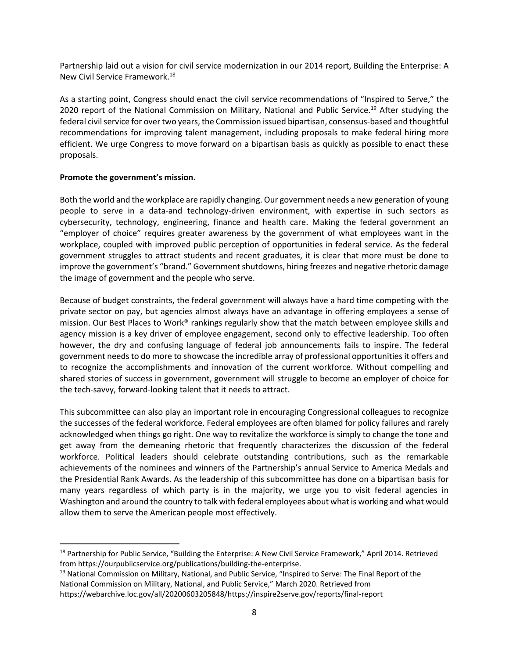Partnership laid out a vision for civil service modernization in our 2014 report, Building the Enterprise: A New Civil Service Framework.<sup>18</sup>

As a starting point, Congress should enact the civil service recommendations of "Inspired to Serve," the 2020 report of the National Commission on Military, National and Public Service.<sup>19</sup> After studying the federal civil service for over two years, the Commission issued bipartisan, consensus-based and thoughtful recommendations for improving talent management, including proposals to make federal hiring more efficient. We urge Congress to move forward on a bipartisan basis as quickly as possible to enact these proposals.

## **Promote the government's mission.**

Both the world and the workplace are rapidly changing. Our government needs a new generation of young people to serve in a data-and technology-driven environment, with expertise in such sectors as cybersecurity, technology, engineering, finance and health care. Making the federal government an "employer of choice" requires greater awareness by the government of what employees want in the workplace, coupled with improved public perception of opportunities in federal service. As the federal government struggles to attract students and recent graduates, it is clear that more must be done to improve the government's "brand." Government shutdowns, hiring freezes and negative rhetoric damage the image of government and the people who serve.

Because of budget constraints, the federal government will always have a hard time competing with the private sector on pay, but agencies almost always have an advantage in offering employees a sense of mission. Our Best Places to Work® rankings regularly show that the match between employee skills and agency mission is a key driver of employee engagement, second only to effective leadership. Too often however, the dry and confusing language of federal job announcements fails to inspire. The federal government needs to do more to showcase the incredible array of professional opportunities it offers and to recognize the accomplishments and innovation of the current workforce. Without compelling and shared stories of success in government, government will struggle to become an employer of choice for the tech‐savvy, forward‐looking talent that it needs to attract.

This subcommittee can also play an important role in encouraging Congressional colleagues to recognize the successes of the federal workforce. Federal employees are often blamed for policy failures and rarely acknowledged when things go right. One way to revitalize the workforce is simply to change the tone and get away from the demeaning rhetoric that frequently characterizes the discussion of the federal workforce. Political leaders should celebrate outstanding contributions, such as the remarkable achievements of the nominees and winners of the Partnership's annual Service to America Medals and the Presidential Rank Awards. As the leadership of this subcommittee has done on a bipartisan basis for many years regardless of which party is in the majority, we urge you to visit federal agencies in Washington and around the country to talk with federal employees about what is working and what would allow them to serve the American people most effectively.

<sup>&</sup>lt;sup>18</sup> Partnership for Public Service, "Building the Enterprise: A New Civil Service Framework," April 2014. Retrieved from https://ourpublicservice.org/publications/building‐the‐enterprise.

<sup>&</sup>lt;sup>19</sup> National Commission on Military, National, and Public Service, "Inspired to Serve: The Final Report of the National Commission on Military, National, and Public Service," March 2020. Retrieved from https://webarchive.loc.gov/all/20200603205848/https://inspire2serve.gov/reports/final‐report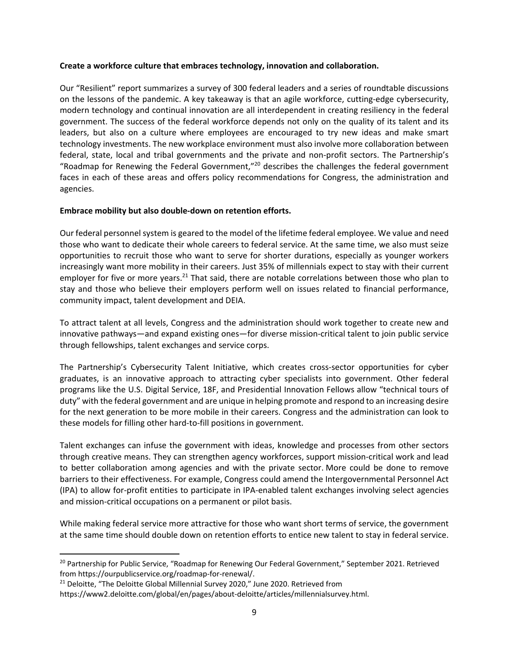#### **Create a workforce culture that embraces technology, innovation and collaboration.**

Our "Resilient" report summarizes a survey of 300 federal leaders and a series of roundtable discussions on the lessons of the pandemic. A key takeaway is that an agile workforce, cutting-edge cybersecurity, modern technology and continual innovation are all interdependent in creating resiliency in the federal government. The success of the federal workforce depends not only on the quality of its talent and its leaders, but also on a culture where employees are encouraged to try new ideas and make smart technology investments. The new workplace environment must also involve more collaboration between federal, state, local and tribal governments and the private and non-profit sectors. The Partnership's "Roadmap for Renewing the Federal Government,"20 describes the challenges the federal government faces in each of these areas and offers policy recommendations for Congress, the administration and agencies.

#### **Embrace mobility but also double‐down on retention efforts.**

Our federal personnel system is geared to the model of the lifetime federal employee. We value and need those who want to dedicate their whole careers to federal service. At the same time, we also must seize opportunities to recruit those who want to serve for shorter durations, especially as younger workers increasingly want more mobility in their careers. Just 35% of millennials expect to stay with their current employer for five or more years.<sup>21</sup> That said, there are notable correlations between those who plan to stay and those who believe their employers perform well on issues related to financial performance, community impact, talent development and DEIA.

To attract talent at all levels, Congress and the administration should work together to create new and innovative pathways—and expand existing ones—for diverse mission‐critical talent to join public service through fellowships, talent exchanges and service corps.

The Partnership's Cybersecurity Talent Initiative, which creates cross-sector opportunities for cyber graduates, is an innovative approach to attracting cyber specialists into government. Other federal programs like the U.S. Digital Service, 18F, and Presidential Innovation Fellows allow "technical tours of duty" with the federal government and are unique in helping promote and respond to an increasing desire for the next generation to be more mobile in their careers. Congress and the administration can look to these models for filling other hard‐to‐fill positions in government.

Talent exchanges can infuse the government with ideas, knowledge and processes from other sectors through creative means. They can strengthen agency workforces, support mission‐critical work and lead to better collaboration among agencies and with the private sector. More could be done to remove barriers to their effectiveness. For example, Congress could amend the Intergovernmental Personnel Act (IPA) to allow for‐profit entities to participate in IPA‐enabled talent exchanges involving select agencies and mission‐critical occupations on a permanent or pilot basis.

While making federal service more attractive for those who want short terms of service, the government at the same time should double down on retention efforts to entice new talent to stay in federal service.

<sup>&</sup>lt;sup>20</sup> Partnership for Public Service, "Roadmap for Renewing Our Federal Government," September 2021. Retrieved from https://ourpublicservice.org/roadmap‐for‐renewal/.

<sup>&</sup>lt;sup>21</sup> Deloitte, "The Deloitte Global Millennial Survey 2020," June 2020. Retrieved from

https://www2.deloitte.com/global/en/pages/about‐deloitte/articles/millennialsurvey.html.